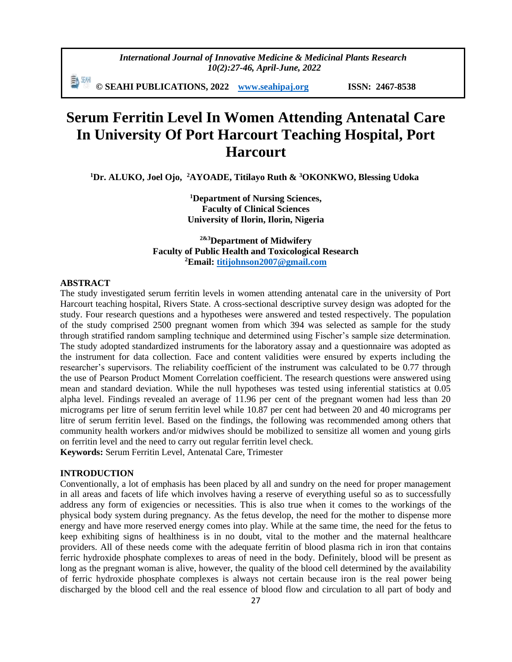*International Journal of Innovative Medicine & Medicinal Plants Research 10(2):27-46, April-June, 2022*

**© SEAHI PUBLICATIONS, 2022 [www.seahipaj.org](http://www.seahipaj.org/) ISSN: 2467-8538**

# **Serum Ferritin Level In Women Attending Antenatal Care In University Of Port Harcourt Teaching Hospital, Port Harcourt**

**<sup>1</sup>Dr. ALUKO, Joel Ojo, <sup>2</sup>AYOADE, Titilayo Ruth & <sup>3</sup>OKONKWO, Blessing Udoka**

**<sup>1</sup>Department of Nursing Sciences, Faculty of Clinical Sciences University of Ilorin, Ilorin, Nigeria**

**2&3Department of Midwifery Faculty of Public Health and Toxicological Research <sup>2</sup>Email: [titijohnson2007@gmail.com](mailto:titijohnson2007@gmail.com)**

#### **ABSTRACT**

The study investigated serum ferritin levels in women attending antenatal care in the university of Port Harcourt teaching hospital, Rivers State. A cross-sectional descriptive survey design was adopted for the study. Four research questions and a hypotheses were answered and tested respectively. The population of the study comprised 2500 pregnant women from which 394 was selected as sample for the study through stratified random sampling technique and determined using Fischer's sample size determination. The study adopted standardized instruments for the laboratory assay and a questionnaire was adopted as the instrument for data collection. Face and content validities were ensured by experts including the researcher's supervisors. The reliability coefficient of the instrument was calculated to be 0.77 through the use of Pearson Product Moment Correlation coefficient. The research questions were answered using mean and standard deviation. While the null hypotheses was tested using inferential statistics at 0.05 alpha level. Findings revealed an average of 11.96 per cent of the pregnant women had less than 20 micrograms per litre of serum ferritin level while 10.87 per cent had between 20 and 40 micrograms per litre of serum ferritin level. Based on the findings, the following was recommended among others that community health workers and/or midwives should be mobilized to sensitize all women and young girls on ferritin level and the need to carry out regular ferritin level check. **Keywords:** Serum Ferritin Level, Antenatal Care, Trimester

# **INTRODUCTION**

Conventionally, a lot of emphasis has been placed by all and sundry on the need for proper management in all areas and facets of life which involves having a reserve of everything useful so as to successfully address any form of exigencies or necessities. This is also true when it comes to the workings of the physical body system during pregnancy. As the fetus develop, the need for the mother to dispense more energy and have more reserved energy comes into play. While at the same time, the need for the fetus to keep exhibiting signs of healthiness is in no doubt, vital to the mother and the maternal healthcare providers. All of these needs come with the adequate ferritin of blood plasma rich in iron that contains ferric hydroxide phosphate complexes to areas of need in the body. Definitely, blood will be present as long as the pregnant woman is alive, however, the quality of the blood cell determined by the availability of ferric hydroxide phosphate complexes is always not certain because iron is the real power being discharged by the blood cell and the real essence of blood flow and circulation to all part of body and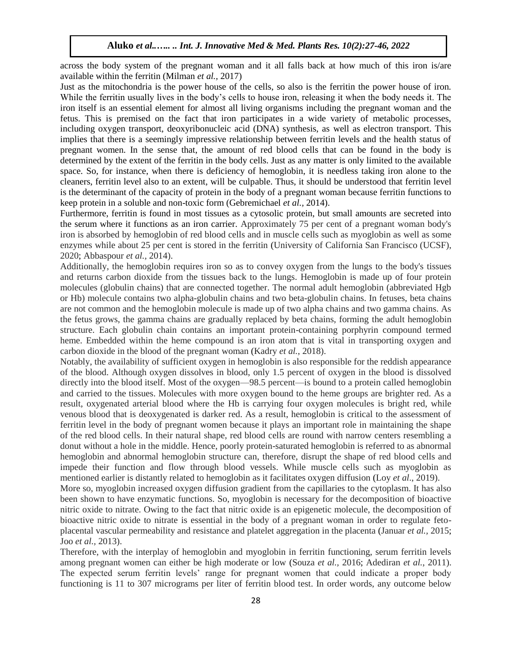across the body system of the pregnant woman and it all falls back at how much of this iron is/are available within the ferritin (Milman *et al.,* 2017)

Just as the mitochondria is the power house of the cells, so also is the ferritin the power house of iron. While the ferritin usually lives in the body's cells to house iron, releasing it when the body needs it. The iron itself is an essential element for almost all living organisms including the pregnant woman and the fetus. This is premised on the fact that iron participates in a wide variety of metabolic processes, including oxygen transport, deoxyribonucleic acid (DNA) synthesis, as well as electron transport. This implies that there is a seemingly impressive relationship between ferritin levels and the health status of pregnant women. In the sense that, the amount of red blood cells that can be found in the body is determined by the extent of the ferritin in the body cells. Just as any matter is only limited to the available space. So, for instance, when there is deficiency of hemoglobin, it is needless taking iron alone to the cleaners, ferritin level also to an extent, will be culpable. Thus, it should be understood that ferritin level is the determinant of the capacity of protein in the body of a pregnant woman because ferritin functions to keep protein in a soluble and non-toxic form (Gebremichael *et al.,* 2014).

Furthermore, ferritin is found in most tissues as a cytosolic protein, but small amounts are secreted into the serum where it functions as an iron carrier. Approximately 75 per cent of a pregnant woman body's iron is absorbed by hemoglobin of red blood cells and in muscle cells such as myoglobin as well as some enzymes while about 25 per cent is stored in the ferritin (University of California San Francisco (UCSF), 2020; Abbaspour *et al.,* 2014).

Additionally, the hemoglobin requires iron so as to convey oxygen from the lungs to the body's tissues and returns carbon dioxide from the tissues back to the lungs. Hemoglobin is made up of four protein molecules (globulin chains) that are connected together. The normal adult hemoglobin (abbreviated Hgb or Hb) molecule contains two alpha-globulin chains and two beta-globulin chains. In fetuses, beta chains are not common and the hemoglobin molecule is made up of two alpha chains and two gamma chains. As the fetus grows, the gamma chains are gradually replaced by beta chains, forming the adult hemoglobin structure. Each globulin chain contains an important protein-containing porphyrin compound termed heme. Embedded within the heme compound is an iron atom that is vital in transporting oxygen and carbon dioxide in the blood of the pregnant woman (Kadry *et al.*, 2018).

Notably, the availability of sufficient oxygen in hemoglobin is also responsible for the reddish appearance of the blood. Although oxygen dissolves in blood, only 1.5 percent of oxygen in the blood is dissolved directly into the blood itself. Most of the oxygen—98.5 percent—is bound to a protein called hemoglobin and carried to the tissues. Molecules with more oxygen bound to the heme groups are brighter red. As a result, oxygenated arterial blood where the Hb is carrying four oxygen molecules is bright red, while venous blood that is deoxygenated is darker red. As a result, hemoglobin is critical to the assessment of ferritin level in the body of pregnant women because it plays an important role in maintaining the shape of the red blood cells. In their natural shape, red blood cells are round with narrow centers resembling a donut without a hole in the middle. Hence, poorly protein-saturated hemoglobin is referred to as abnormal hemoglobin and abnormal hemoglobin structure can, therefore, disrupt the shape of red blood cells and impede their function and flow through blood vessels. While muscle cells such as myoglobin as mentioned earlier is distantly related to hemoglobin as it facilitates oxygen diffusion (Loy *et al*., 2019).

More so, myoglobin increased oxygen diffusion gradient from the capillaries to the cytoplasm. It has also been shown to have enzymatic functions. So, myoglobin is necessary for the decomposition of bioactive nitric oxide to nitrate. Owing to the fact that nitric oxide is an epigenetic molecule, the decomposition of bioactive nitric oxide to nitrate is essential in the body of a pregnant woman in order to regulate fetoplacental vascular permeability and resistance and platelet aggregation in the placenta (Januar *et al.,* 2015; Joo *et al.,* 2013).

Therefore, with the interplay of hemoglobin and myoglobin in ferritin functioning, serum ferritin levels among pregnant women can either be high moderate or low (Souza *et al.,* 2016; Adediran *et al.*, 2011). The expected serum ferritin levels' range for pregnant women that could indicate a proper body functioning is 11 to 307 micrograms per liter of ferritin blood test. In order words, any outcome below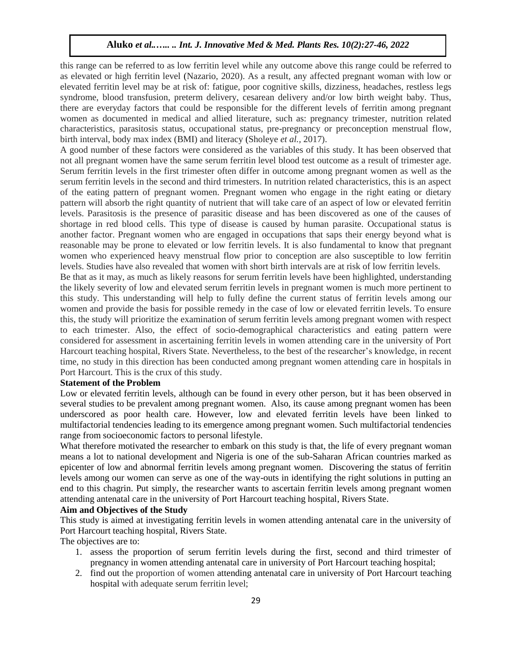this range can be referred to as low ferritin level while any outcome above this range could be referred to as elevated or high ferritin level (Nazario, 2020). As a result, any affected pregnant woman with low or elevated ferritin level may be at risk of: fatigue, poor cognitive skills, dizziness, headaches, restless legs syndrome, blood transfusion, preterm delivery, cesarean delivery and/or low birth weight baby. Thus, there are everyday factors that could be responsible for the different levels of ferritin among pregnant women as documented in medical and allied literature, such as: pregnancy trimester, nutrition related characteristics, parasitosis status, occupational status, pre-pregnancy or preconception menstrual flow, birth interval, body max index (BMI) and literacy (Sholeye *et al.,* 2017).

A good number of these factors were considered as the variables of this study. It has been observed that not all pregnant women have the same serum ferritin level blood test outcome as a result of trimester age. Serum ferritin levels in the first trimester often differ in outcome among pregnant women as well as the serum ferritin levels in the second and third trimesters. In nutrition related characteristics, this is an aspect of the eating pattern of pregnant women. Pregnant women who engage in the right eating or dietary pattern will absorb the right quantity of nutrient that will take care of an aspect of low or elevated ferritin levels. Parasitosis is the presence of parasitic disease and has been discovered as one of the causes of shortage in red blood cells. This type of disease is caused by human parasite. Occupational status is another factor. Pregnant women who are engaged in occupations that saps their energy beyond what is reasonable may be prone to elevated or low ferritin levels. It is also fundamental to know that pregnant women who experienced heavy menstrual flow prior to conception are also susceptible to low ferritin levels. Studies have also revealed that women with short birth intervals are at risk of low ferritin levels.

Be that as it may, as much as likely reasons for serum ferritin levels have been highlighted, understanding the likely severity of low and elevated serum ferritin levels in pregnant women is much more pertinent to this study. This understanding will help to fully define the current status of ferritin levels among our women and provide the basis for possible remedy in the case of low or elevated ferritin levels. To ensure this, the study will prioritize the examination of serum ferritin levels among pregnant women with respect to each trimester. Also, the effect of socio-demographical characteristics and eating pattern were considered for assessment in ascertaining ferritin levels in women attending care in the university of Port Harcourt teaching hospital, Rivers State. Nevertheless, to the best of the researcher's knowledge, in recent time, no study in this direction has been conducted among pregnant women attending care in hospitals in Port Harcourt. This is the crux of this study.

## **Statement of the Problem**

Low or elevated ferritin levels, although can be found in every other person, but it has been observed in several studies to be prevalent among pregnant women. Also, its cause among pregnant women has been underscored as poor health care. However, low and elevated ferritin levels have been linked to multifactorial tendencies leading to its emergence among pregnant women. Such multifactorial tendencies range from socioeconomic factors to personal lifestyle.

What therefore motivated the researcher to embark on this study is that, the life of every pregnant woman means a lot to national development and Nigeria is one of the sub-Saharan African countries marked as epicenter of low and abnormal ferritin levels among pregnant women. Discovering the status of ferritin levels among our women can serve as one of the way-outs in identifying the right solutions in putting an end to this chagrin. Put simply, the researcher wants to ascertain ferritin levels among pregnant women attending antenatal care in the university of Port Harcourt teaching hospital, Rivers State.

# **Aim and Objectives of the Study**

This study is aimed at investigating ferritin levels in women attending antenatal care in the university of Port Harcourt teaching hospital, Rivers State.

The objectives are to:

- 1. assess the proportion of serum ferritin levels during the first, second and third trimester of pregnancy in women attending antenatal care in university of Port Harcourt teaching hospital;
- 2. find out the proportion of women attending antenatal care in university of Port Harcourt teaching hospital with adequate serum ferritin level;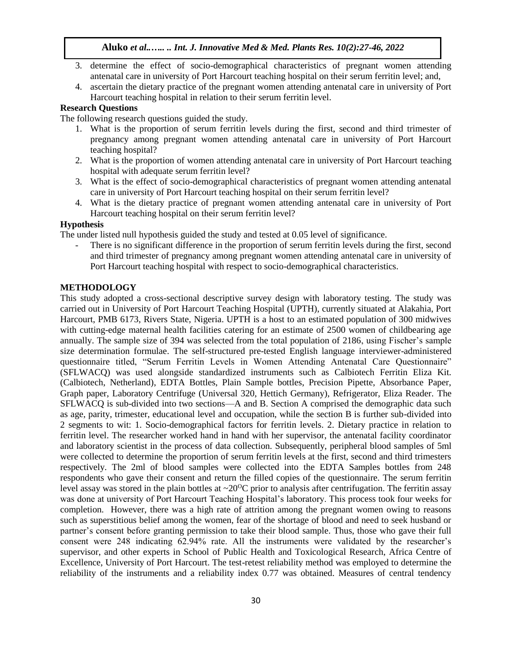- 3. determine the effect of socio-demographical characteristics of pregnant women attending antenatal care in university of Port Harcourt teaching hospital on their serum ferritin level; and,
- 4. ascertain the dietary practice of the pregnant women attending antenatal care in university of Port Harcourt teaching hospital in relation to their serum ferritin level.

# **Research Questions**

The following research questions guided the study.

- 1. What is the proportion of serum ferritin levels during the first, second and third trimester of pregnancy among pregnant women attending antenatal care in university of Port Harcourt teaching hospital?
- 2. What is the proportion of women attending antenatal care in university of Port Harcourt teaching hospital with adequate serum ferritin level?
- 3. What is the effect of socio-demographical characteristics of pregnant women attending antenatal care in university of Port Harcourt teaching hospital on their serum ferritin level?
- 4. What is the dietary practice of pregnant women attending antenatal care in university of Port Harcourt teaching hospital on their serum ferritin level?

# **Hypothesis**

The under listed null hypothesis guided the study and tested at 0.05 level of significance.

There is no significant difference in the proportion of serum ferritin levels during the first, second and third trimester of pregnancy among pregnant women attending antenatal care in university of Port Harcourt teaching hospital with respect to socio-demographical characteristics.

#### **METHODOLOGY**

This study adopted a cross-sectional descriptive survey design with laboratory testing. The study was carried out in University of Port Harcourt Teaching Hospital (UPTH), currently situated at Alakahia, Port Harcourt, PMB 6173, Rivers State, Nigeria. UPTH is a host to an estimated population of 300 midwives with cutting-edge maternal health facilities catering for an estimate of 2500 women of childbearing age annually. The sample size of 394 was selected from the total population of 2186, using Fischer's sample size determination formulae. The self-structured pre-tested English language interviewer-administered questionnaire titled, "Serum Ferritin Levels in Women Attending Antenatal Care Questionnaire" (SFLWACQ) was used alongside standardized instruments such as Calbiotech Ferritin Eliza Kit. (Calbiotech, Netherland), EDTA Bottles, Plain Sample bottles, Precision Pipette, Absorbance Paper, Graph paper, Laboratory Centrifuge (Universal 320, Hettich Germany), Refrigerator, Eliza Reader. The SFLWACQ is sub-divided into two sections—A and B. Section A comprised the demographic data such as age, parity, trimester, educational level and occupation, while the section B is further sub-divided into 2 segments to wit: 1. Socio-demographical factors for ferritin levels. 2. Dietary practice in relation to ferritin level. The researcher worked hand in hand with her supervisor, the antenatal facility coordinator and laboratory scientist in the process of data collection. Subsequently, peripheral blood samples of 5ml were collected to determine the proportion of serum ferritin levels at the first, second and third trimesters respectively. The 2ml of blood samples were collected into the EDTA Samples bottles from 248 respondents who gave their consent and return the filled copies of the questionnaire. The serum ferritin level assay was stored in the plain bottles at  $\sim$ 20<sup>o</sup>C prior to analysis after centrifugation. The ferritin assay was done at university of Port Harcourt Teaching Hospital's laboratory. This process took four weeks for completion. However, there was a high rate of attrition among the pregnant women owing to reasons such as superstitious belief among the women, fear of the shortage of blood and need to seek husband or partner's consent before granting permission to take their blood sample. Thus, those who gave their full consent were 248 indicating 62.94% rate. All the instruments were validated by the researcher's supervisor, and other experts in School of Public Health and Toxicological Research, Africa Centre of Excellence, University of Port Harcourt. The test-retest reliability method was employed to determine the reliability of the instruments and a reliability index 0.77 was obtained. Measures of central tendency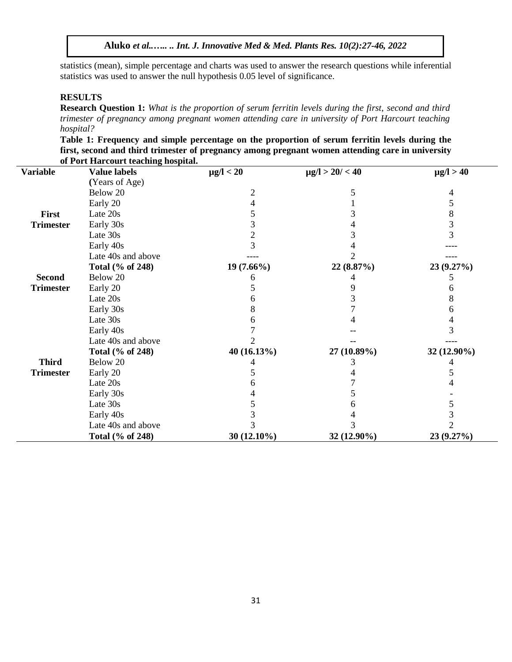statistics (mean), simple percentage and charts was used to answer the research questions while inferential statistics was used to answer the null hypothesis 0.05 level of significance.

## **RESULTS**

**Research Question 1:** *What is the proportion of serum ferritin levels during the first, second and third trimester of pregnancy among pregnant women attending care in university of Port Harcourt teaching hospital?*

**Table 1: Frequency and simple percentage on the proportion of serum ferritin levels during the first, second and third trimester of pregnancy among pregnant women attending care in university of Port Harcourt teaching hospital.**

| <b>Variable</b>  | <b>Value labels</b> | $\mu$ g/l < 20 | $\mu$ g/l > 20/ < 40 | $\mu$ g/l > 40 |
|------------------|---------------------|----------------|----------------------|----------------|
|                  | (Years of Age)      |                |                      |                |
|                  | Below 20            | 2              | 5                    | 4              |
|                  | Early 20            | 4              |                      | 5              |
| First            | Late 20s            | 5              | 3                    | 8              |
| <b>Trimester</b> | Early 30s           | 3              |                      | 3              |
|                  | Late 30s            | 2              |                      | 3              |
|                  | Early 40s           | 3              |                      |                |
|                  | Late 40s and above  |                |                      |                |
|                  | Total (% of 248)    | $19(7.66\%)$   | 22 (8.87%)           | 23 (9.27%)     |
| <b>Second</b>    | Below 20            |                |                      |                |
| <b>Trimester</b> | Early 20            | 5              |                      | 6              |
|                  | Late 20s            | n              |                      | 8              |
|                  | Early 30s           | 8              |                      | b              |
|                  | Late 30s            |                |                      |                |
|                  | Early 40s           |                |                      | 3              |
|                  | Late 40s and above  |                |                      |                |
|                  | Total (% of 248)    | 40 (16.13%)    | 27 (10.89%)          | 32 (12.90%)    |
| <b>Third</b>     | Below 20            |                |                      |                |
| <b>Trimester</b> | Early 20            |                |                      | 5              |
|                  | Late 20s            |                |                      |                |
|                  | Early 30s           |                |                      |                |
|                  | Late 30s            |                | n                    | C              |
|                  | Early 40s           |                |                      |                |
|                  | Late 40s and above  |                |                      |                |
|                  | Total (% of 248)    | 30 (12.10%)    | 32 (12.90%)          | 23 (9.27%)     |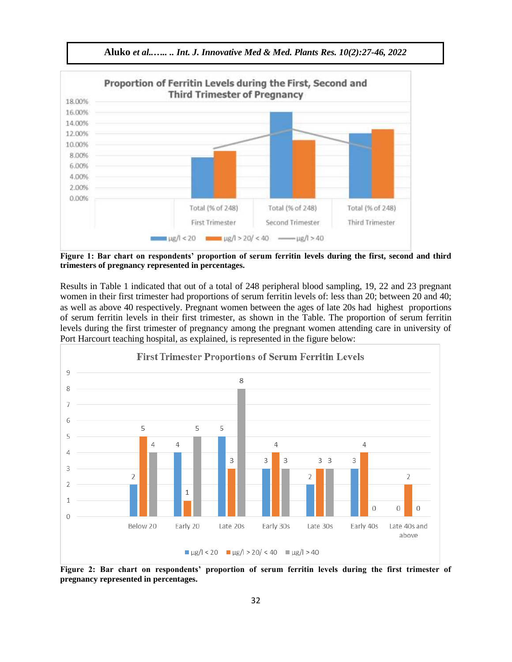

**Aluko** *et al..….. .. Int. J. Innovative Med & Med. Plants Res. 10(2):27-46, 2022*

**Figure 1: Bar chart on respondents' proportion of serum ferritin levels during the first, second and third trimesters of pregnancy represented in percentages.**

Results in Table 1 indicated that out of a total of 248 peripheral blood sampling, 19, 22 and 23 pregnant women in their first trimester had proportions of serum ferritin levels of: less than 20; between 20 and 40; as well as above 40 respectively. Pregnant women between the ages of late 20s had highest proportions of serum ferritin levels in their first trimester, as shown in the Table. The proportion of serum ferritin levels during the first trimester of pregnancy among the pregnant women attending care in university of Port Harcourt teaching hospital, as explained, is represented in the figure below:



**Figure 2: Bar chart on respondents' proportion of serum ferritin levels during the first trimester of pregnancy represented in percentages.**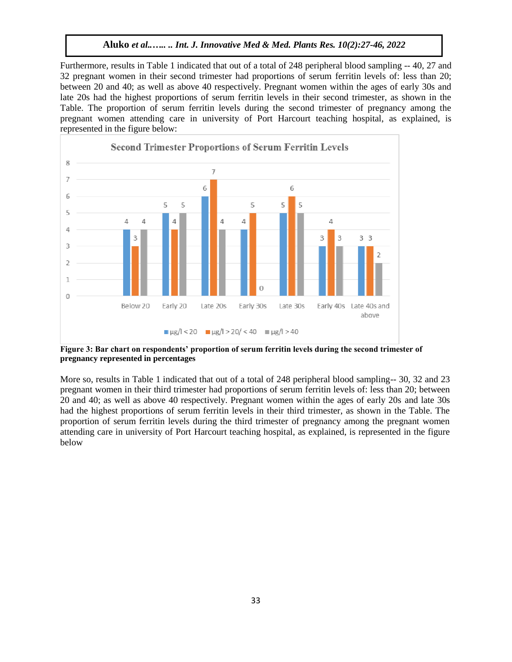Furthermore, results in Table 1 indicated that out of a total of 248 peripheral blood sampling -- 40, 27 and 32 pregnant women in their second trimester had proportions of serum ferritin levels of: less than 20; between 20 and 40; as well as above 40 respectively. Pregnant women within the ages of early 30s and late 20s had the highest proportions of serum ferritin levels in their second trimester, as shown in the Table. The proportion of serum ferritin levels during the second trimester of pregnancy among the pregnant women attending care in university of Port Harcourt teaching hospital, as explained, is represented in the figure below:



**Figure 3: Bar chart on respondents' proportion of serum ferritin levels during the second trimester of pregnancy represented in percentages**

More so, results in Table 1 indicated that out of a total of 248 peripheral blood sampling-- 30, 32 and 23 pregnant women in their third trimester had proportions of serum ferritin levels of: less than 20; between 20 and 40; as well as above 40 respectively. Pregnant women within the ages of early 20s and late 30s had the highest proportions of serum ferritin levels in their third trimester, as shown in the Table. The proportion of serum ferritin levels during the third trimester of pregnancy among the pregnant women attending care in university of Port Harcourt teaching hospital, as explained, is represented in the figure below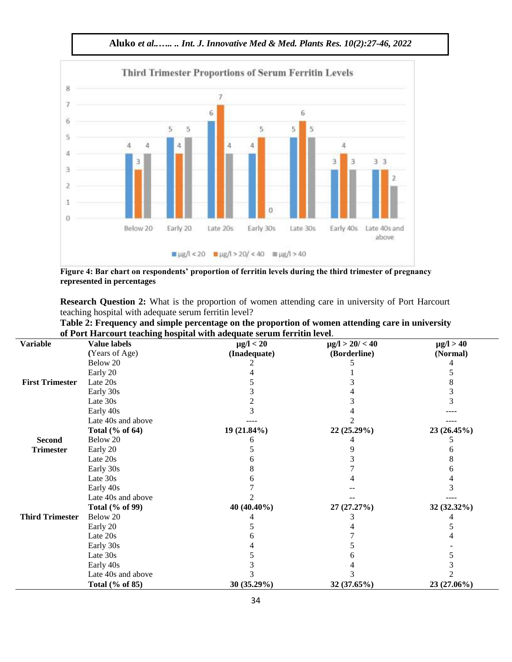

**Aluko** *et al..….. .. Int. J. Innovative Med & Med. Plants Res. 10(2):27-46, 2022*

**Figure 4: Bar chart on respondents' proportion of ferritin levels during the third trimester of pregnancy represented in percentages**

**Research Question 2:** What is the proportion of women attending care in university of Port Harcourt teaching hospital with adequate serum ferritin level?

| Table 2: Frequency and simple percentage on the proportion of women attending care in university |
|--------------------------------------------------------------------------------------------------|
| of Port Harcourt teaching hospital with adequate serum ferritin level.                           |

| <b>Variable</b>        | <b>Value labels</b> | or i ort marcourt teaching hospital with aucquate serum ferritm icycl<br>$\mu$ g/l < 20 | $\mu$ g/l > 20/ < 40 | $\mu$ g/l > 40 |
|------------------------|---------------------|-----------------------------------------------------------------------------------------|----------------------|----------------|
|                        | (Years of Age)      | (Inadequate)                                                                            | (Borderline)         | (Normal)       |
|                        | Below 20            |                                                                                         |                      |                |
|                        | Early 20            |                                                                                         |                      |                |
| <b>First Trimester</b> | Late 20s            |                                                                                         |                      |                |
|                        | Early 30s           |                                                                                         |                      |                |
|                        | Late 30s            |                                                                                         |                      |                |
|                        | Early 40s           |                                                                                         |                      |                |
|                        | Late 40s and above  |                                                                                         |                      |                |
|                        | Total (% of 64)     | 19 (21.84%)                                                                             | 22 (25.29%)          | 23 (26.45%)    |
| <b>Second</b>          | Below 20            |                                                                                         |                      |                |
| <b>Trimester</b>       | Early 20            |                                                                                         |                      |                |
|                        | Late 20s            |                                                                                         |                      |                |
|                        | Early 30s           | x                                                                                       |                      |                |
|                        | Late 30s            |                                                                                         |                      |                |
|                        | Early 40s           |                                                                                         |                      |                |
|                        | Late 40s and above  |                                                                                         |                      |                |
|                        | Total (% of 99)     | 40 (40.40%)                                                                             | 27 (27.27%)          | 32 (32.32%)    |
| <b>Third Trimester</b> | Below 20            |                                                                                         |                      |                |
|                        | Early 20            |                                                                                         |                      |                |
|                        | Late 20s            |                                                                                         |                      |                |
|                        | Early 30s           |                                                                                         |                      |                |
|                        | Late 30s            |                                                                                         |                      |                |
|                        | Early 40s           |                                                                                         |                      |                |
|                        | Late 40s and above  |                                                                                         |                      |                |
|                        | Total (% of 85)     | 30 (35.29%)                                                                             | 32 (37.65%)          | 23 (27.06%)    |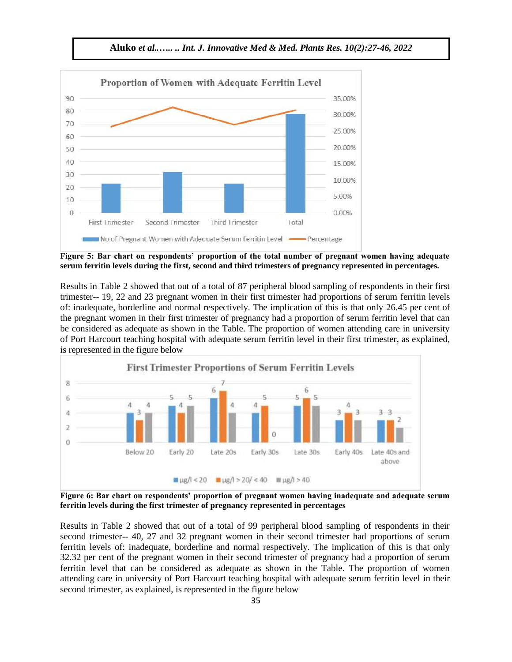

**Aluko** *et al..….. .. Int. J. Innovative Med & Med. Plants Res. 10(2):27-46, 2022*

**Figure 5: Bar chart on respondents' proportion of the total number of pregnant women having adequate serum ferritin levels during the first, second and third trimesters of pregnancy represented in percentages.**

Results in Table 2 showed that out of a total of 87 peripheral blood sampling of respondents in their first trimester-- 19, 22 and 23 pregnant women in their first trimester had proportions of serum ferritin levels of: inadequate, borderline and normal respectively. The implication of this is that only 26.45 per cent of the pregnant women in their first trimester of pregnancy had a proportion of serum ferritin level that can be considered as adequate as shown in the Table. The proportion of women attending care in university of Port Harcourt teaching hospital with adequate serum ferritin level in their first trimester, as explained, is represented in the figure below



**Figure 6: Bar chart on respondents' proportion of pregnant women having inadequate and adequate serum ferritin levels during the first trimester of pregnancy represented in percentages**

Results in Table 2 showed that out of a total of 99 peripheral blood sampling of respondents in their second trimester-- 40, 27 and 32 pregnant women in their second trimester had proportions of serum ferritin levels of: inadequate, borderline and normal respectively. The implication of this is that only 32.32 per cent of the pregnant women in their second trimester of pregnancy had a proportion of serum ferritin level that can be considered as adequate as shown in the Table. The proportion of women attending care in university of Port Harcourt teaching hospital with adequate serum ferritin level in their second trimester, as explained, is represented in the figure below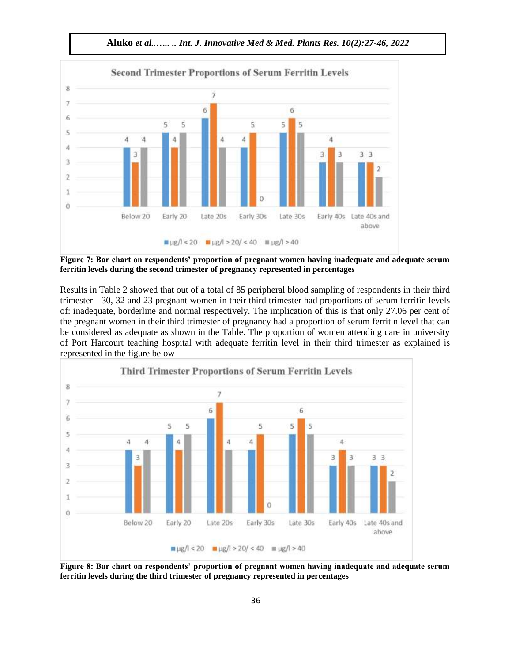

**Aluko** *et al..….. .. Int. J. Innovative Med & Med. Plants Res. 10(2):27-46, 2022*

**Figure 7: Bar chart on respondents' proportion of pregnant women having inadequate and adequate serum ferritin levels during the second trimester of pregnancy represented in percentages**

Results in Table 2 showed that out of a total of 85 peripheral blood sampling of respondents in their third trimester-- 30, 32 and 23 pregnant women in their third trimester had proportions of serum ferritin levels of: inadequate, borderline and normal respectively. The implication of this is that only 27.06 per cent of the pregnant women in their third trimester of pregnancy had a proportion of serum ferritin level that can be considered as adequate as shown in the Table. The proportion of women attending care in university of Port Harcourt teaching hospital with adequate ferritin level in their third trimester as explained is represented in the figure below



**Figure 8: Bar chart on respondents' proportion of pregnant women having inadequate and adequate serum ferritin levels during the third trimester of pregnancy represented in percentages**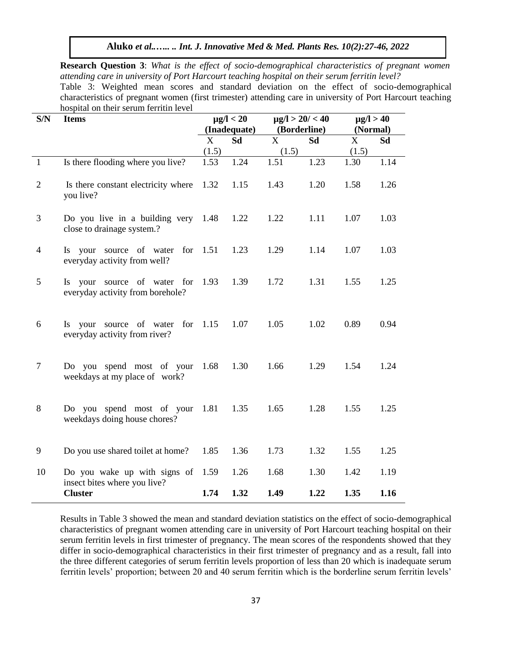**Research Question 3**: *What is the effect of socio-demographical characteristics of pregnant women attending care in university of Port Harcourt teaching hospital on their serum ferritin level?* Table 3: Weighted mean scores and standard deviation on the effect of socio-demographical characteristics of pregnant women (first trimester) attending care in university of Port Harcourt teaching hospital on their serum ferritin level

| S/N            | <b>Items</b>                                                      | $\mu$ g/l < 20<br>(Inadequate) |      | $\mu$ g/l > 20/ < 40<br>(Borderline) |      | $\mu$ g/l > 40<br>(Normal) |           |
|----------------|-------------------------------------------------------------------|--------------------------------|------|--------------------------------------|------|----------------------------|-----------|
|                |                                                                   | X                              | Sd   | $\mathbf{X}$                         | Sd   | $\boldsymbol{\mathrm{X}}$  | <b>Sd</b> |
|                |                                                                   | (1.5)                          |      | (1.5)                                |      | (1.5)                      |           |
| $\mathbf{1}$   | Is there flooding where you live?                                 | 1.53                           | 1.24 | 1.51                                 | 1.23 | 1.30                       | 1.14      |
| $\mathfrak{2}$ | Is there constant electricity where<br>you live?                  | 1.32                           | 1.15 | 1.43                                 | 1.20 | 1.58                       | 1.26      |
| 3              | Do you live in a building very<br>close to drainage system.?      | 1.48                           | 1.22 | 1.22                                 | 1.11 | 1.07                       | 1.03      |
| $\overline{4}$ | Is your source of water for<br>everyday activity from well?       | 1.51                           | 1.23 | 1.29                                 | 1.14 | 1.07                       | 1.03      |
| 5              | Is your source of water for<br>everyday activity from borehole?   | 1.93                           | 1.39 | 1.72                                 | 1.31 | 1.55                       | 1.25      |
| 6              | Is your source of water for 1.15<br>everyday activity from river? |                                | 1.07 | 1.05                                 | 1.02 | 0.89                       | 0.94      |
| 7              | Do you spend most of your<br>weekdays at my place of work?        | 1.68                           | 1.30 | 1.66                                 | 1.29 | 1.54                       | 1.24      |
| 8              | Do you spend most of your<br>weekdays doing house chores?         | 1.81                           | 1.35 | 1.65                                 | 1.28 | 1.55                       | 1.25      |
| 9              | Do you use shared toilet at home?                                 | 1.85                           | 1.36 | 1.73                                 | 1.32 | 1.55                       | 1.25      |
| 10             | Do you wake up with signs of<br>insect bites where you live?      | 1.59                           | 1.26 | 1.68                                 | 1.30 | 1.42                       | 1.19      |
|                | <b>Cluster</b>                                                    | 1.74                           | 1.32 | 1.49                                 | 1.22 | 1.35                       | 1.16      |

Results in Table 3 showed the mean and standard deviation statistics on the effect of socio-demographical characteristics of pregnant women attending care in university of Port Harcourt teaching hospital on their serum ferritin levels in first trimester of pregnancy. The mean scores of the respondents showed that they differ in socio-demographical characteristics in their first trimester of pregnancy and as a result, fall into the three different categories of serum ferritin levels proportion of less than 20 which is inadequate serum ferritin levels' proportion; between 20 and 40 serum ferritin which is the borderline serum ferritin levels'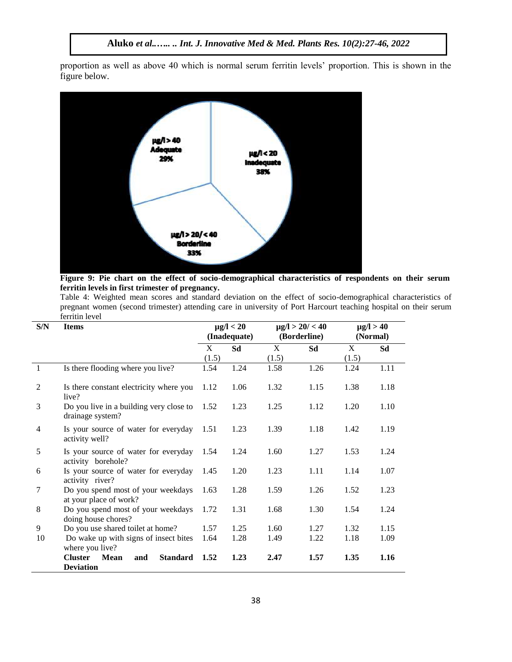proportion as well as above 40 which is normal serum ferritin levels' proportion. This is shown in the figure below.



**Figure 9: Pie chart on the effect of socio-demographical characteristics of respondents on their serum ferritin levels in first trimester of pregnancy.**

Table 4: Weighted mean scores and standard deviation on the effect of socio-demographical characteristics of pregnant women (second trimester) attending care in university of Port Harcourt teaching hospital on their serum ferritin level L,

| S/N            | <b>Items</b>                                                 |       | $\mu$ g/l < 20<br>(Inadequate) | $\mu$ g/l > 20/ < 40<br>(Borderline) |      | $\mu$ g/l > 40<br>(Normal) |      |
|----------------|--------------------------------------------------------------|-------|--------------------------------|--------------------------------------|------|----------------------------|------|
|                |                                                              | X     | Sd                             | X                                    | Sd   | X                          | Sd   |
|                |                                                              | (1.5) |                                | (1.5)                                |      | (1.5)                      |      |
| $\overline{1}$ | Is there flooding where you live?                            | 1.54  | 1.24                           | 1.58                                 | 1.26 | 1.24                       | 1.11 |
| 2              | Is there constant electricity where you<br>live?             | 1.12  | 1.06                           | 1.32                                 | 1.15 | 1.38                       | 1.18 |
| 3              | Do you live in a building very close to<br>drainage system?  | 1.52  | 1.23                           | 1.25                                 | 1.12 | 1.20                       | 1.10 |
| $\overline{4}$ | Is your source of water for everyday<br>activity well?       | 1.51  | 1.23                           | 1.39                                 | 1.18 | 1.42                       | 1.19 |
| 5              | Is your source of water for everyday<br>activity borehole?   | 1.54  | 1.24                           | 1.60                                 | 1.27 | 1.53                       | 1.24 |
| 6              | Is your source of water for everyday<br>activity river?      | 1.45  | 1.20                           | 1.23                                 | 1.11 | 1.14                       | 1.07 |
| 7              | Do you spend most of your weekdays<br>at your place of work? | 1.63  | 1.28                           | 1.59                                 | 1.26 | 1.52                       | 1.23 |
| 8              | Do you spend most of your weekdays<br>doing house chores?    | 1.72  | 1.31                           | 1.68                                 | 1.30 | 1.54                       | 1.24 |
| 9              | Do you use shared toilet at home?                            | 1.57  | 1.25                           | 1.60                                 | 1.27 | 1.32                       | 1.15 |
| 10             | Do wake up with signs of insect bites<br>where you live?     | 1.64  | 1.28                           | 1.49                                 | 1.22 | 1.18                       | 1.09 |
|                | <b>Cluster</b><br>Mean<br><b>Standard</b><br>and             | 1.52  | 1.23                           | 2.47                                 | 1.57 | 1.35                       | 1.16 |
|                | <b>Deviation</b>                                             |       |                                |                                      |      |                            |      |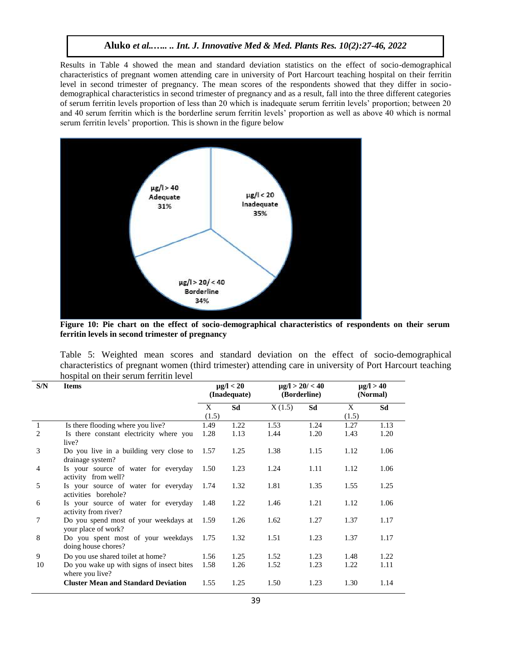Results in Table 4 showed the mean and standard deviation statistics on the effect of socio-demographical characteristics of pregnant women attending care in university of Port Harcourt teaching hospital on their ferritin level in second trimester of pregnancy. The mean scores of the respondents showed that they differ in sociodemographical characteristics in second trimester of pregnancy and as a result, fall into the three different categories of serum ferritin levels proportion of less than 20 which is inadequate serum ferritin levels' proportion; between 20 and 40 serum ferritin which is the borderline serum ferritin levels' proportion as well as above 40 which is normal serum ferritin levels' proportion. This is shown in the figure below



**Figure 10: Pie chart on the effect of socio-demographical characteristics of respondents on their serum ferritin levels in second trimester of pregnancy**

|  |                                        |  |  |  |  | Table 5: Weighted mean scores and standard deviation on the effect of socio-demographical                  |  |
|--|----------------------------------------|--|--|--|--|------------------------------------------------------------------------------------------------------------|--|
|  |                                        |  |  |  |  | characteristics of pregnant women (third trimester) attending care in university of Port Harcourt teaching |  |
|  | hospital on their serum ferritin level |  |  |  |  |                                                                                                            |  |

| S/N            | <b>Items</b>                                                 |            | $\mu$ g/l < 20<br>(Inadequate) | $\mu$ g/l > 20/ < 40<br>(Borderline) |      | $\mu$ g/l > 40<br>(Normal) |      |
|----------------|--------------------------------------------------------------|------------|--------------------------------|--------------------------------------|------|----------------------------|------|
|                |                                                              | X<br>(1.5) | Sd                             | X(1.5)                               | Sd   | X<br>(1.5)                 | Sd   |
| $\mathbf{1}$   | Is there flooding where you live?                            | 1.49       | 1.22                           | 1.53                                 | 1.24 | 1.27                       | 1.13 |
| 2              | Is there constant electricity where you<br>live?             | 1.28       | 1.13                           | 1.44                                 | 1.20 | 1.43                       | 1.20 |
| 3              | Do you live in a building very close to<br>drainage system?  | 1.57       | 1.25                           | 1.38                                 | 1.15 | 1.12                       | 1.06 |
| $\overline{4}$ | Is your source of water for everyday<br>activity from well?  | 1.50       | 1.23                           | 1.24                                 | 1.11 | 1.12                       | 1.06 |
| 5              | Is your source of water for everyday<br>activities borehole? | 1.74       | 1.32                           | 1.81                                 | 1.35 | 1.55                       | 1.25 |
| 6              | Is your source of water for everyday<br>activity from river? | 1.48       | 1.22                           | 1.46                                 | 1.21 | 1.12                       | 1.06 |
| 7              | Do you spend most of your weekdays at<br>your place of work? | 1.59       | 1.26                           | 1.62                                 | 1.27 | 1.37                       | 1.17 |
| 8              | Do you spent most of your weekdays<br>doing house chores?    | 1.75       | 1.32                           | 1.51                                 | 1.23 | 1.37                       | 1.17 |
| 9              | Do you use shared toilet at home?                            | 1.56       | 1.25                           | 1.52                                 | 1.23 | 1.48                       | 1.22 |
| 10             | Do you wake up with signs of insect bites<br>where you live? | 1.58       | 1.26                           | 1.52                                 | 1.23 | 1.22                       | 1.11 |
|                | <b>Cluster Mean and Standard Deviation</b>                   | 1.55       | 1.25                           | 1.50                                 | 1.23 | 1.30                       | 1.14 |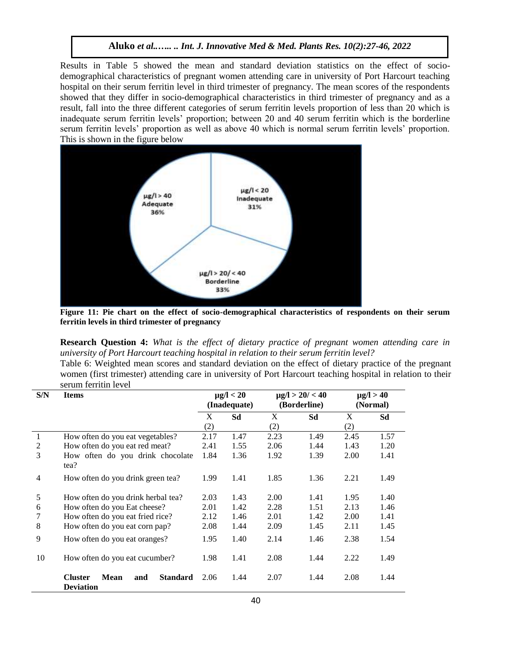Results in Table 5 showed the mean and standard deviation statistics on the effect of sociodemographical characteristics of pregnant women attending care in university of Port Harcourt teaching hospital on their serum ferritin level in third trimester of pregnancy. The mean scores of the respondents showed that they differ in socio-demographical characteristics in third trimester of pregnancy and as a result, fall into the three different categories of serum ferritin levels proportion of less than 20 which is inadequate serum ferritin levels' proportion; between 20 and 40 serum ferritin which is the borderline serum ferritin levels' proportion as well as above 40 which is normal serum ferritin levels' proportion. This is shown in the figure below



**Figure 11: Pie chart on the effect of socio-demographical characteristics of respondents on their serum ferritin levels in third trimester of pregnancy**

**Research Question 4:** *What is the effect of dietary practice of pregnant women attending care in university of Port Harcourt teaching hospital in relation to their serum ferritin level?*

Table 6: Weighted mean scores and standard deviation on the effect of dietary practice of the pregnant women (first trimester) attending care in university of Port Harcourt teaching hospital in relation to their serum ferritin level

| S/N            | <b>Items</b>                                                         |      | $\mu$ g/l < 20<br>(Inadequate) |      | $\mu$ g/l > 20/ < 40<br>$\mu$ g/l > 40<br>(Borderline)<br>(Normal) |      |      |
|----------------|----------------------------------------------------------------------|------|--------------------------------|------|--------------------------------------------------------------------|------|------|
|                |                                                                      | X    | Sd                             | X    | Sd                                                                 | X    | Sd   |
|                |                                                                      | (2)  |                                | (2)  |                                                                    | (2)  |      |
| 1              | How often do you eat vegetables?                                     | 2.17 | 1.47                           | 2.23 | 1.49                                                               | 2.45 | 1.57 |
| 2              | How often do you eat red meat?                                       | 2.41 | 1.55                           | 2.06 | 1.44                                                               | 1.43 | 1.20 |
| 3              | How often do you drink chocolate<br>tea?                             | 1.84 | 1.36                           | 1.92 | 1.39                                                               | 2.00 | 1.41 |
| $\overline{4}$ | How often do you drink green tea?                                    | 1.99 | 1.41                           | 1.85 | 1.36                                                               | 2.21 | 1.49 |
| 5              | How often do you drink herbal tea?                                   | 2.03 | 1.43                           | 2.00 | 1.41                                                               | 1.95 | 1.40 |
| 6              | How often do you Eat cheese?                                         | 2.01 | 1.42                           | 2.28 | 1.51                                                               | 2.13 | 1.46 |
|                | How often do you eat fried rice?                                     | 2.12 | 1.46                           | 2.01 | 1.42                                                               | 2.00 | 1.41 |
| 8              | How often do you eat corn pap?                                       | 2.08 | 1.44                           | 2.09 | 1.45                                                               | 2.11 | 1.45 |
| 9              | How often do you eat oranges?                                        | 1.95 | 1.40                           | 2.14 | 1.46                                                               | 2.38 | 1.54 |
| 10             | How often do you eat cucumber?                                       | 1.98 | 1.41                           | 2.08 | 1.44                                                               | 2.22 | 1.49 |
|                | <b>Cluster</b><br>Mean<br><b>Standard</b><br>and<br><b>Deviation</b> | 2.06 | 1.44                           | 2.07 | 1.44                                                               | 2.08 | 1.44 |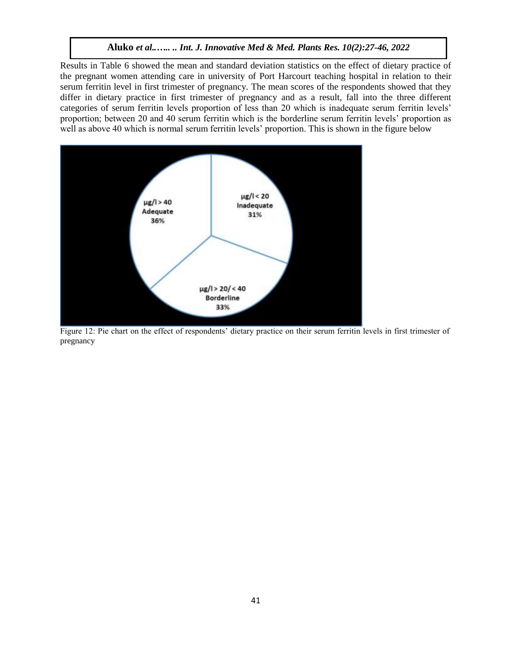Results in Table 6 showed the mean and standard deviation statistics on the effect of dietary practice of the pregnant women attending care in university of Port Harcourt teaching hospital in relation to their serum ferritin level in first trimester of pregnancy. The mean scores of the respondents showed that they differ in dietary practice in first trimester of pregnancy and as a result, fall into the three different categories of serum ferritin levels proportion of less than 20 which is inadequate serum ferritin levels' proportion; between 20 and 40 serum ferritin which is the borderline serum ferritin levels' proportion as well as above 40 which is normal serum ferritin levels' proportion. This is shown in the figure below



Figure 12: Pie chart on the effect of respondents' dietary practice on their serum ferritin levels in first trimester of pregnancy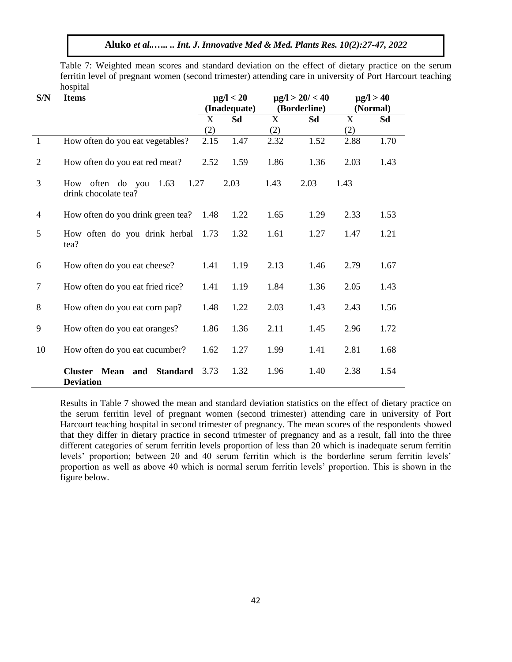Table 7: Weighted mean scores and standard deviation on the effect of dietary practice on the serum ferritin level of pregnant women (second trimester) attending care in university of Port Harcourt teaching hospital

| S/N            | <b>Items</b>                                             |      | $\mu$ g/l < 20 |              | $\mu$ g/l > 20/ < 40 |             | $\mu$ g/l > 40 |
|----------------|----------------------------------------------------------|------|----------------|--------------|----------------------|-------------|----------------|
|                |                                                          |      | (Inadequate)   |              | (Borderline)         |             | (Normal)       |
|                |                                                          | X    | Sd             | $\mathbf{X}$ | Sd                   | $\mathbf X$ | Sd             |
|                |                                                          | (2)  |                | (2)          |                      | (2)         |                |
| 1              | How often do you eat vegetables?                         | 2.15 | 1.47           | 2.32         | 1.52                 | 2.88        | 1.70           |
| $\overline{2}$ | How often do you eat red meat?                           | 2.52 | 1.59           | 1.86         | 1.36                 | 2.03        | 1.43           |
| 3              | 1.63<br>1.27<br>How often do you<br>drink chocolate tea? |      | 2.03           | 1.43         | 2.03                 | 1.43        |                |
| $\overline{4}$ | How often do you drink green tea?                        | 1.48 | 1.22           | 1.65         | 1.29                 | 2.33        | 1.53           |
| 5              | How often do you drink herbal<br>tea?                    | 1.73 | 1.32           | 1.61         | 1.27                 | 1.47        | 1.21           |
| 6              | How often do you eat cheese?                             | 1.41 | 1.19           | 2.13         | 1.46                 | 2.79        | 1.67           |
| $\tau$         | How often do you eat fried rice?                         | 1.41 | 1.19           | 1.84         | 1.36                 | 2.05        | 1.43           |
| 8              | How often do you eat corn pap?                           | 1.48 | 1.22           | 2.03         | 1.43                 | 2.43        | 1.56           |
| 9              | How often do you eat oranges?                            | 1.86 | 1.36           | 2.11         | 1.45                 | 2.96        | 1.72           |
| 10             | How often do you eat cucumber?                           | 1.62 | 1.27           | 1.99         | 1.41                 | 2.81        | 1.68           |
|                | Mean and Standard<br><b>Cluster</b><br><b>Deviation</b>  | 3.73 | 1.32           | 1.96         | 1.40                 | 2.38        | 1.54           |

Results in Table 7 showed the mean and standard deviation statistics on the effect of dietary practice on the serum ferritin level of pregnant women (second trimester) attending care in university of Port Harcourt teaching hospital in second trimester of pregnancy. The mean scores of the respondents showed that they differ in dietary practice in second trimester of pregnancy and as a result, fall into the three different categories of serum ferritin levels proportion of less than 20 which is inadequate serum ferritin levels' proportion; between 20 and 40 serum ferritin which is the borderline serum ferritin levels' proportion as well as above 40 which is normal serum ferritin levels' proportion. This is shown in the figure below.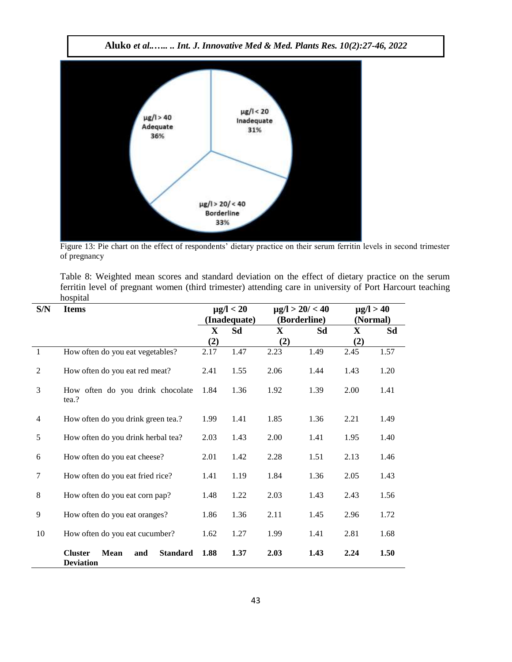

Figure 13: Pie chart on the effect of respondents' dietary practice on their serum ferritin levels in second trimester of pregnancy

Table 8: Weighted mean scores and standard deviation on the effect of dietary practice on the serum ferritin level of pregnant women (third trimester) attending care in university of Port Harcourt teaching hospital

| S/N            | <b>Items</b>                                                                |              | $\mu$ g/l < 20<br>(Inadequate) |      | $\mu$ g/l > 20/ < 40<br>$\mu$ g/l > 40<br>(Borderline)<br>(Normal) |      |      |
|----------------|-----------------------------------------------------------------------------|--------------|--------------------------------|------|--------------------------------------------------------------------|------|------|
|                |                                                                             | $\mathbf{X}$ | Sd                             | X    | Sd                                                                 | X    | Sd   |
|                |                                                                             | (2)          |                                | (2)  |                                                                    | (2)  |      |
| $\mathbf{1}$   | How often do you eat vegetables?                                            | 2.17         | 1.47                           | 2.23 | 1.49                                                               | 2.45 | 1.57 |
| $\mathfrak{2}$ | How often do you eat red meat?                                              | 2.41         | 1.55                           | 2.06 | 1.44                                                               | 1.43 | 1.20 |
| 3              | How often do you drink chocolate<br>tea.?                                   | 1.84         | 1.36                           | 1.92 | 1.39                                                               | 2.00 | 1.41 |
| 4              | How often do you drink green tea.?                                          | 1.99         | 1.41                           | 1.85 | 1.36                                                               | 2.21 | 1.49 |
| 5              | How often do you drink herbal tea?                                          | 2.03         | 1.43                           | 2.00 | 1.41                                                               | 1.95 | 1.40 |
| 6              | How often do you eat cheese?                                                | 2.01         | 1.42                           | 2.28 | 1.51                                                               | 2.13 | 1.46 |
| 7              | How often do you eat fried rice?                                            | 1.41         | 1.19                           | 1.84 | 1.36                                                               | 2.05 | 1.43 |
| $\,8\,$        | How often do you eat corn pap?                                              | 1.48         | 1.22                           | 2.03 | 1.43                                                               | 2.43 | 1.56 |
| 9              | How often do you eat oranges?                                               | 1.86         | 1.36                           | 2.11 | 1.45                                                               | 2.96 | 1.72 |
| 10             | How often do you eat cucumber?                                              | 1.62         | 1.27                           | 1.99 | 1.41                                                               | 2.81 | 1.68 |
|                | <b>Cluster</b><br><b>Mean</b><br><b>Standard</b><br>and<br><b>Deviation</b> | 1.88         | 1.37                           | 2.03 | 1.43                                                               | 2.24 | 1.50 |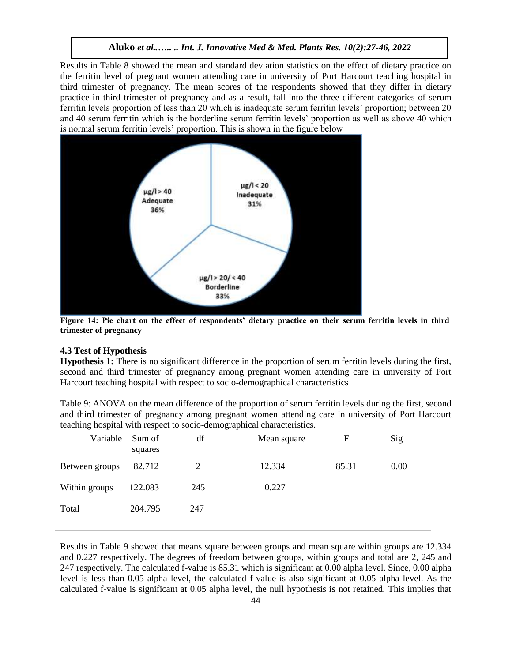Results in Table 8 showed the mean and standard deviation statistics on the effect of dietary practice on the ferritin level of pregnant women attending care in university of Port Harcourt teaching hospital in third trimester of pregnancy. The mean scores of the respondents showed that they differ in dietary practice in third trimester of pregnancy and as a result, fall into the three different categories of serum ferritin levels proportion of less than 20 which is inadequate serum ferritin levels' proportion; between 20 and 40 serum ferritin which is the borderline serum ferritin levels' proportion as well as above 40 which is normal serum ferritin levels' proportion. This is shown in the figure below



**Figure 14: Pie chart on the effect of respondents' dietary practice on their serum ferritin levels in third trimester of pregnancy**

#### **4.3 Test of Hypothesis**

**Hypothesis 1:** There is no significant difference in the proportion of serum ferritin levels during the first, second and third trimester of pregnancy among pregnant women attending care in university of Port Harcourt teaching hospital with respect to socio-demographical characteristics

Table 9: ANOVA on the mean difference of the proportion of serum ferritin levels during the first, second and third trimester of pregnancy among pregnant women attending care in university of Port Harcourt teaching hospital with respect to socio-demographical characteristics.

| Variable       | Sum of<br>squares | df  | Mean square | $\mathbf F$ | Sig  |
|----------------|-------------------|-----|-------------|-------------|------|
| Between groups | 82.712            | 2   | 12.334      | 85.31       | 0.00 |
| Within groups  | 122.083           | 245 | 0.227       |             |      |
| Total          | 204.795           | 247 |             |             |      |

Results in Table 9 showed that means square between groups and mean square within groups are 12.334 and 0.227 respectively. The degrees of freedom between groups, within groups and total are 2, 245 and 247 respectively. The calculated f-value is 85.31 which is significant at 0.00 alpha level. Since, 0.00 alpha level is less than 0.05 alpha level, the calculated f-value is also significant at 0.05 alpha level. As the calculated f-value is significant at 0.05 alpha level, the null hypothesis is not retained. This implies that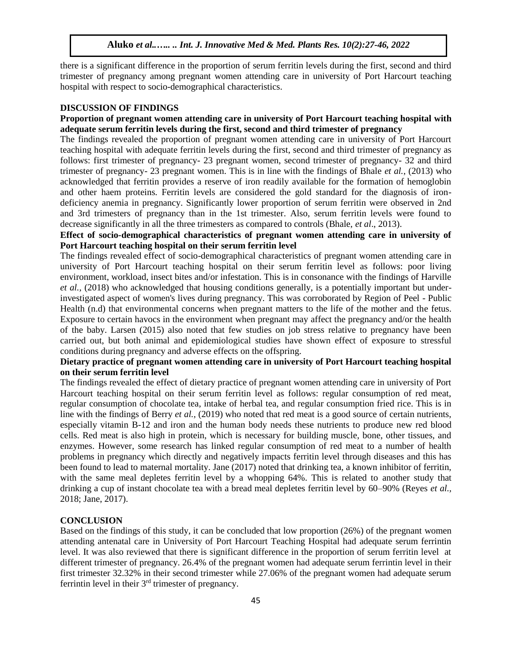there is a significant difference in the proportion of serum ferritin levels during the first, second and third trimester of pregnancy among pregnant women attending care in university of Port Harcourt teaching hospital with respect to socio-demographical characteristics.

#### **DISCUSSION OF FINDINGS**

### **Proportion of pregnant women attending care in university of Port Harcourt teaching hospital with adequate serum ferritin levels during the first, second and third trimester of pregnancy**

The findings revealed the proportion of pregnant women attending care in university of Port Harcourt teaching hospital with adequate ferritin levels during the first, second and third trimester of pregnancy as follows: first trimester of pregnancy- 23 pregnant women, second trimester of pregnancy- 32 and third trimester of pregnancy- 23 pregnant women. This is in line with the findings of Bhale *et al.*, (2013) who acknowledged that ferritin provides a reserve of iron readily available for the formation of hemoglobin and other haem proteins. Ferritin levels are considered the gold standard for the diagnosis of irondeficiency anemia in pregnancy. Significantly lower proportion of serum ferritin were observed in 2nd and 3rd trimesters of pregnancy than in the 1st trimester. Also, serum ferritin levels were found to decrease significantly in all the three trimesters as compared to controls (Bhale, *et al*., 2013).

# **Effect of socio-demographical characteristics of pregnant women attending care in university of Port Harcourt teaching hospital on their serum ferritin level**

The findings revealed effect of socio-demographical characteristics of pregnant women attending care in university of Port Harcourt teaching hospital on their serum ferritin level as follows: poor living environment, workload, insect bites and/or infestation. This is in consonance with the findings of Harville *et al.,* (2018) who acknowledged that housing conditions generally, is a potentially important but underinvestigated aspect of women's lives during pregnancy. This was corroborated by Region of Peel - Public Health (n.d) that environmental concerns when pregnant matters to the life of the mother and the fetus. Exposure to certain havocs in the environment when pregnant may affect the pregnancy and/or the health of the baby. Larsen (2015) also noted that few studies on job stress relative to pregnancy have been carried out, but both animal and epidemiological studies have shown effect of exposure to stressful conditions during pregnancy and adverse effects on the offspring.

## **Dietary practice of pregnant women attending care in university of Port Harcourt teaching hospital on their serum ferritin level**

The findings revealed the effect of dietary practice of pregnant women attending care in university of Port Harcourt teaching hospital on their serum ferritin level as follows: regular consumption of red meat, regular consumption of chocolate tea, intake of herbal tea, and regular consumption fried rice. This is in line with the findings of Berry *et al.,* (2019) who noted that red meat is a good source of certain nutrients, especially vitamin B-12 and iron and the human body needs these nutrients to produce new red blood cells. Red meat is also high in protein, which is necessary for building muscle, bone, other tissues, and enzymes. However, some research has linked regular consumption of red meat to a number of health problems in pregnancy which directly and negatively impacts ferritin level through diseases and this has been found to lead to maternal mortality. Jane (2017) noted that drinking tea, a known inhibitor of ferritin, with the same meal depletes ferritin level by a whopping 64%. This is related to another study that drinking a cup of instant chocolate tea with a bread meal depletes ferritin level by 60–90% (Reyes *et al.,* 2018; Jane, 2017).

## **CONCLUSION**

Based on the findings of this study, it can be concluded that low proportion (26%) of the pregnant women attending antenatal care in University of Port Harcourt Teaching Hospital had adequate serum ferrintin level. It was also reviewed that there is significant difference in the proportion of serum ferritin level at different trimester of pregnancy. 26.4% of the pregnant women had adequate serum ferrintin level in their first trimester 32.32% in their second trimester while 27.06% of the pregnant women had adequate serum ferrintin level in their 3rd trimester of pregnancy.